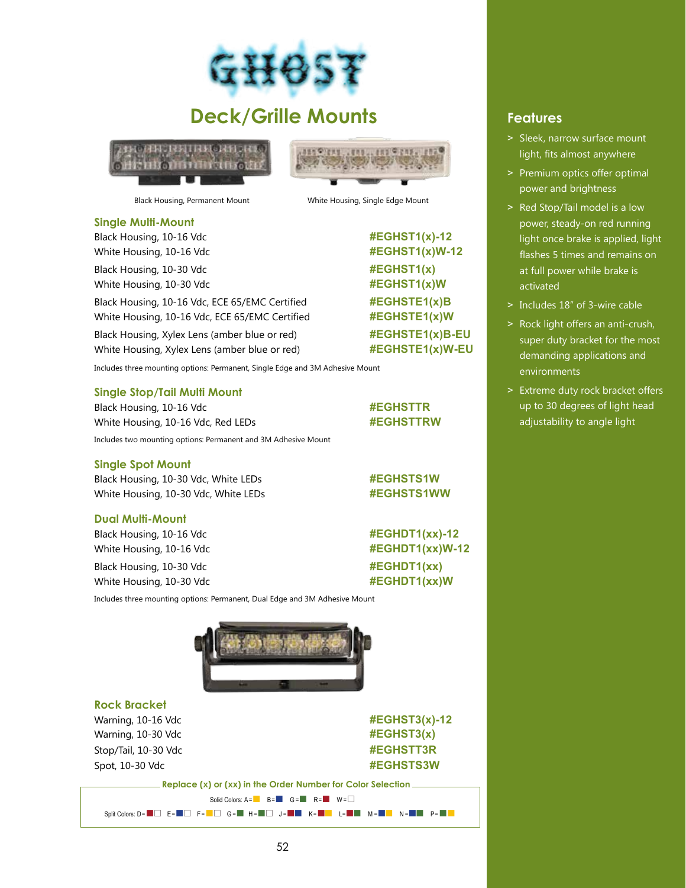

## **Deck/Grille Mounts**





Black Housing, Permanent Mount White Housing, Single Edge Mount

**Single Multi-Mount**

Black Housing, 10-16 Vdc **#EGHST1(x)-12** White Housing, 10-16 Vdc **#EGHST1(x)W-12** 

Black Housing, 10-30 Vdc **#EGHST1(x)** White Housing, 10-30 Vdc **#EGHST1(x)W** 

Black Housing, 10-16 Vdc, ECE 65/EMC Certified #EGHSTE1(x)B White Housing, 10-16 Vdc, ECE 65/EMC Certified #EGHSTE1(x)W

Black Housing, Xylex Lens (amber blue or red) **#EGHSTE1(x)B-EU** White Housing, Xylex Lens (amber blue or red) **#EGHSTE1(x)W-EU** 

Includes three mounting options: Permanent, Single Edge and 3M Adhesive Mount

### **Single Stop/Tail Multi Mount**

Black Housing, 10-16 Vdc **#EGHSTTR** White Housing, 10-16 Vdc, Red LEDs **#EGHSTTRW** Includes two mounting options: Permanent and 3M Adhesive Mount

#### **Single Spot Mount**

Black Housing, 10-30 Vdc, White LEDs **#EGHSTS1W** White Housing, 10-30 Vdc, White LEDs **#EGHSTS1WW** 

### **Dual Multi-Mount**

Black Housing, 10-16 Vdc **#EGHDT1(xx)-12** White Housing, 10-16 Vdc **#EGHDT1(xx)W-12** Black Housing, 10-30 Vdc **#EGHDT1(xx)** 

White Housing, 10-30 Vdc **#EGHDT1(xx)W** 

Includes three mounting options: Permanent, Dual Edge and 3M Adhesive Mount



**Rock Bracket**  Warning, 10-16 Vdc **#EGHST3(x)-12** Warning, 10-30 Vdc **#EGHST3(x)** Stop/Tail, 10-30 Vdc **#EGHSTT3R** Spot, 10-30 Vdc<br>  $\text{FGGHSTS3W}$ 

 **Replace (x) or (xx) in the Order Number for Color Selection** Solid Colors:  $A = \blacksquare$  B =  $\blacksquare$  G =  $\blacksquare$  R =  $\blacksquare$  W =  $\Box$ Split Colors: D= ■ □ E= ■ □ F= ■ □ G= ■ H= ■ □ J= ■ ■ K= ■ ■ L= ■ ■ M= ■ ■ N= ■ ■ P= ■ ■

## **Features**

- > Sleek, narrow surface mount light, fits almost anywhere
- > Premium optics offer optimal power and brightness
- > Red Stop/Tail model is a low power, steady-on red running light once brake is applied, light flashes 5 times and remains on at full power while brake is activated
- > Includes 18" of 3-wire cable
- > Rock light offers an anti-crush, super duty bracket for the most demanding applications and environments
- > Extreme duty rock bracket offers up to 30 degrees of light head adjustability to angle light